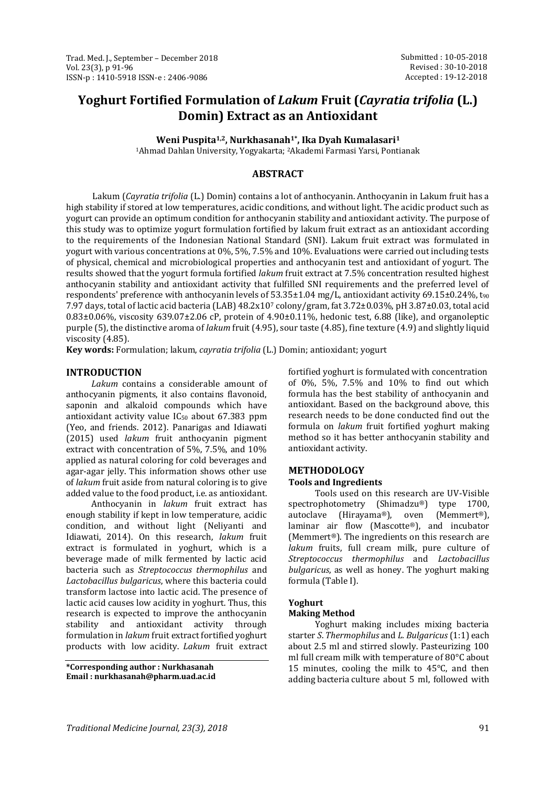# **Yoghurt Fortified Formulation of** *Lakum* **Fruit (***Cayratia trifolia* **(L.) Domin) Extract as an Antioxidant**

**Weni Puspita1,2, Nurkhasanah1\*, Ika Dyah Kumalasari<sup>1</sup>**

<sup>1</sup>Ahmad Dahlan University, Yogyakarta; 2Akademi Farmasi Yarsi, Pontianak

# **ABSTRACT**

Lakum (*Cayratia trifolia* (L.) Domin) contains a lot of anthocyanin. Anthocyanin in Lakum fruit has a high stability if stored at low temperatures, acidic conditions, and without light. The acidic product such as yogurt can provide an optimum condition for anthocyanin stability and antioxidant activity. The purpose of this study was to optimize yogurt formulation fortified by lakum fruit extract as an antioxidant according to the requirements of the Indonesian National Standard (SNI). Lakum fruit extract was formulated in yogurt with various concentrations at 0%, 5%, 7.5% and 10%. Evaluations were carried out including tests of physical, chemical and microbiological properties and anthocyanin test and antioxidant of yogurt. The results showed that the yogurt formula fortified *lakum* fruit extract at 7.5% concentration resulted highest anthocyanin stability and antioxidant activity that fulfilled SNI requirements and the preferred level of respondents' preference with anthocyanin levels of 53.35±1.04 mg/L, antioxidant activity 69.15±0.24%, t<sup>90</sup> 7.97 days, total of lactic acid bacteria (LAB) 48.2x10<sup>7</sup> colony/gram, fat 3.72±0.03%, pH 3.87±0.03, total acid  $0.83\pm0.06\%$ , viscosity 639.07 $\pm$ 2.06 cP, protein of 4.90 $\pm$ 0.11%, hedonic test, 6.88 (like), and organoleptic purple (5), the distinctive aroma of *lakum* fruit (4.95), sour taste (4.85), fine texture (4.9) and slightly liquid viscosity (4.85).

**Key words:** Formulation; lakum, *cayratia trifolia* (L.) Domin; antioxidant; yogurt

## **INTRODUCTION**

*Lakum* contains a considerable amount of anthocyanin pigments, it also contains flavonoid, saponin and alkaloid compounds which have antioxidant activity value IC<sup>50</sup> about 67.383 ppm (Yeo, and friends. 2012). Panarigas and Idiawati (2015) used *lakum* fruit anthocyanin pigment extract with concentration of 5%, 7.5%, and 10% applied as natural coloring for cold beverages and agar-agar jelly. This information shows other use of *lakum* fruit aside from natural coloring is to give added value to the food product, i.e. as antioxidant.

Anthocyanin in *lakum* fruit extract has enough stability if kept in low temperature, acidic condition, and without light (Neliyanti and Idiawati, 2014). On this research, *lakum* fruit extract is formulated in yoghurt, which is a beverage made of milk fermented by lactic acid bacteria such as *Streptococcus thermophilus* and *Lactobacillus bulgaricus*, where this bacteria could transform lactose into lactic acid. The presence of lactic acid causes low acidity in yoghurt. Thus, this research is expected to improve the anthocyanin stability and antioxidant activity through formulation in *lakum* fruit extract fortified yoghurt products with low acidity. *Lakum* fruit extract

**\*Corresponding author : Nurkhasanah Email : nurkhasanah@pharm.uad.ac.id**

fortified yoghurt is formulated with concentration of 0%, 5%, 7.5% and 10% to find out which formula has the best stability of anthocyanin and antioxidant. Based on the background above, this research needs to be done conducted find out the formula on *lakum* fruit fortified yoghurt making method so it has better anthocyanin stability and antioxidant activity.

#### **METHODOLOGY Tools and Ingredients**

Tools used on this research are UV-Visible spectrophotometry (Shimadzu®) type 1700, autoclave (Hirayama®), oven (Memmert®), laminar air flow (Mascotte®), and incubator (Memmert®). The ingredients on this research are *lakum* fruits, full cream milk, pure culture of *Streptococcus thermophilus* and *Lactobacillus bulgaricus*, as well as honey. The yoghurt making formula (Table I).

## **Yoghurt**

## **Making Method**

Yoghurt making includes mixing bacteria starter *S*. *Thermophilus* and *L. Bulgaricus*(1:1) each about 2.5 ml and stirred slowly. Pasteurizing 100 ml full cream milk with temperature of 80°C about 15 minutes, cooling the milk to 45°C, and then adding bacteria culture about 5 ml, followed with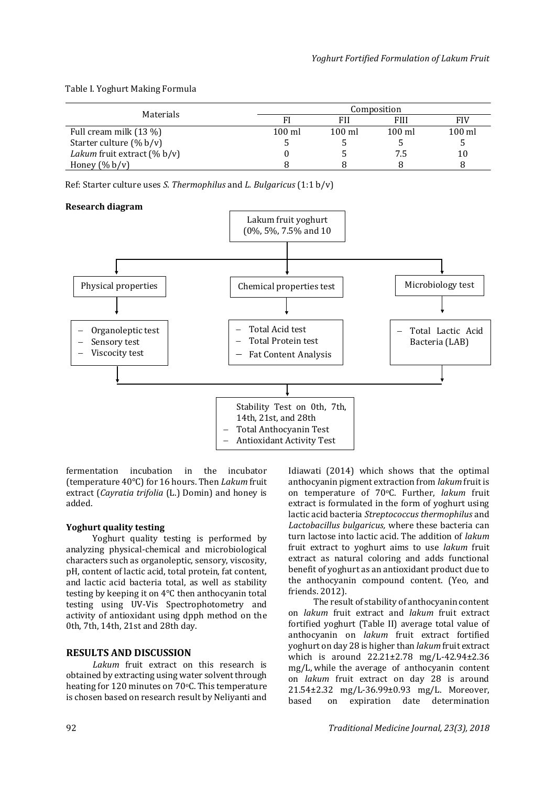Table I. Yoghurt Making Formula

|                                       | Composition      |                  |                  |                  |  |
|---------------------------------------|------------------|------------------|------------------|------------------|--|
| Materials                             |                  |                  | <b>FIII</b>      | FIV              |  |
| Full cream milk (13 %)                | $100 \text{ ml}$ | $100 \text{ ml}$ | $100 \text{ ml}$ | $100 \text{ ml}$ |  |
| Starter culture $(\% b/v)$            |                  |                  |                  |                  |  |
| <i>Lakum</i> fruit extract $(\% b/v)$ |                  |                  |                  | 10               |  |
| Honey $(\% b/v)$                      |                  |                  |                  |                  |  |

Ref: Starter culture uses *S. Thermophilus* and *L. Bulgaricus* (1:1 b/v)

## **Research diagram**



fermentation incubation in the incubator (temperature 40°C) for 16 hours. Then *Lakum* fruit extract (*Cayratia trifolia* (L.) Domin) and honey is added.

# **Yoghurt quality testing**

Yoghurt quality testing is performed by analyzing physical-chemical and microbiological characters such as organoleptic, sensory, viscosity, pH, content of lactic acid, total protein, fat content, and lactic acid bacteria total, as well as stability testing by keeping it on 4°C then anthocyanin total testing using UV-Vis Spectrophotometry and activity of antioxidant using dpph method on the 0th, 7th, 14th, 21st and 28th day.

# **RESULTS AND DISCUSSION**

*Lakum* fruit extract on this research is obtained by extracting using water solvent through heating for 120 minutes on 70°C. This temperature is chosen based on research result by Neliyanti and

Idiawati (2014) which shows that the optimal anthocyanin pigment extraction from *lakum* fruit is on temperature of 70oC. Further, *lakum* fruit extract is formulated in the form of yoghurt using lactic acid bacteria *Streptococcus thermophilus* and *Lactobacillus bulgaricus,* where these bacteria can turn lactose into lactic acid. The addition of *lakum* fruit extract to yoghurt aims to use *lakum* fruit extract as natural coloring and adds functional benefit of yoghurt as an antioxidant product due to the anthocyanin compound content. (Yeo, and friends. 2012).

The result of stability of anthocyanin content on *lakum* fruit extract and *lakum* fruit extract fortified yoghurt (Table II) average total value of anthocyanin on *lakum* fruit extract fortified yoghurt on day 28 is higher than *lakum* fruit extract which is around 22.21±2.78 mg/L-42.94±2.36 mg/L, while the average of anthocyanin content on *lakum* fruit extract on day 28 is around 21.54±2.32 mg/L-36.99±0.93 mg/L. Moreover, based on expiration date determination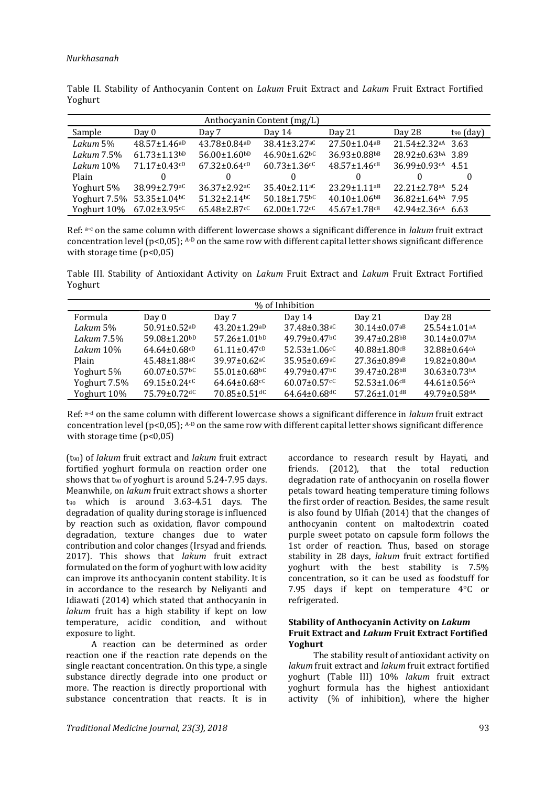| Anthocyanin Content (mg/L) |                                |                                |                                |                                |                                     |                |
|----------------------------|--------------------------------|--------------------------------|--------------------------------|--------------------------------|-------------------------------------|----------------|
| Sample                     | Day 0                          | Day 7                          | Day 14                         | Day 21                         | Day 28                              | $t_{90}$ (day) |
| Lakum 5%                   | $48.57 \pm 1.46$ aD            | $43.78 \pm 0.84$ <sup>aD</sup> | $38.41 \pm 3.27$ <sup>aC</sup> | $27.50 \pm 1.04$ <sub>aB</sub> | $21.54 \pm 2.32$ aA 3.63            |                |
| Lakum 7.5%                 | $61.73 \pm 1.13$ <sub>bD</sub> | $56.00 \pm 1.60^{bD}$          | $46.90 \pm 1.62$ <sub>bc</sub> | 36.93±0.88bB                   | 28.92±0.63bA 3.89                   |                |
| Lakum 10%                  | $71.17 \pm 0.43$ cD            | $67.32 \pm 0.64^{cD}$          | $60.73 \pm 1.36$ <sup>cC</sup> | $48.57 \pm 1.46$ <sup>cB</sup> | 36.99±0.93 <sup>cA</sup> 4.51       |                |
| Plain                      |                                | 0                              | $\Omega$                       | 0                              |                                     |                |
| Yoghurt 5%                 | $38.99 \pm 2.79$ aC            | $36.37 \pm 2.92$ <sup>aC</sup> | $35.40 \pm 2.11$ <sup>aC</sup> | $23.29 \pm 1.11$ <sup>aB</sup> | $22.21 \pm 2.78$ aA 5.24            |                |
| Yoghurt 7.5%               | $53.35 \pm 1.04$ bC            | $51.32 \pm 2.14$ <sup>bC</sup> | $50.18 \pm 1.75$ <sup>bC</sup> | $40.10 \pm 1.06$ <sup>bB</sup> | $36.82 \pm 1.64$ bA 7.95            |                |
| Yoghurt 10%                | $67.02 \pm 3.95$ <sup>cC</sup> | $65.48 \pm 2.87$ <sup>cC</sup> | $62.00 \pm 1.72$ <sup>cC</sup> | $45.67 \pm 1.78$ <sup>cB</sup> | $42.94 \pm 2.36$ <sup>cA</sup> 6.63 |                |

Table II. Stability of Anthocyanin Content on *Lakum* Fruit Extract and *Lakum* Fruit Extract Fortified Yoghurt

Ref: a-c on the same column with different lowercase shows a significant difference in *lakum* fruit extract concentration level  $(p<0.05)$ ; A-D on the same row with different capital letter shows significant difference with storage time  $(p<0.05)$ 

Table III. Stability of Antioxidant Activity on *Lakum* Fruit Extract and *Lakum* Fruit Extract Fortified Yoghurt

| % of Inhibition |                                |                                |                                |                                |                                |
|-----------------|--------------------------------|--------------------------------|--------------------------------|--------------------------------|--------------------------------|
| <b>Formula</b>  | Day 0                          | Day 7                          | Day $14$                       | Day 21                         | Day 28                         |
| Lakum 5%        | $50.91 \pm 0.52$ aD            | $43.20 \pm 1.29$ aD            | $37.48 \pm 0.38$ <sup>aC</sup> | $30.14 \pm 0.07$ <sup>aB</sup> | $25.54 \pm 1.01$ aA            |
| Lakum 7.5%      | $59.08 \pm 1.20$ bD            | $57.26 \pm 1.01$ bD            | $49.79 \pm 0.47$ <sup>bC</sup> | $39.47 \pm 0.28$ <sup>bB</sup> | $30.14 \pm 0.07$ bA            |
| Lakum 10%       | $64.64 \pm 0.68^{cD}$          | $61.11 \pm 0.47$ cD            | $52.53 \pm 1.06$ <sup>cC</sup> | $40.88 \pm 1.80$ <sup>cB</sup> | 32.88±0.64cA                   |
| Plain           | $45.48 \pm 1.88$ <sup>aC</sup> | $39.97 \pm 0.62$ <sup>aC</sup> | $35.95 \pm 0.69$ <sup>aC</sup> | $27.36 \pm 0.89$ <sup>aB</sup> | $19.82 \pm 0.80$ aA            |
| Yoghurt 5%      | $60.07 \pm 0.57$ <sup>bC</sup> | $55.01 \pm 0.68$ <sup>bC</sup> | $49.79 \pm 0.47$ <sup>bC</sup> | $39.47 \pm 0.28$ <sup>bB</sup> | $30.63 \pm 0.73$ bA            |
| Yoghurt 7.5%    | $69.15 \pm 0.24$ cC            | $64.64 \pm 0.68$ <sup>cC</sup> | $60.07 \pm 0.57$ <sup>cC</sup> | $52.53 \pm 1.06$ <sup>cB</sup> | $44.61 \pm 0.56$ <sup>cA</sup> |
| Yoghurt 10%     | $75.79 \pm 0.72$ dC            | $70.85 \pm 0.51$ dC            | $64.64 \pm 0.68$ <sup>dC</sup> | $57.26 \pm 1.01$ <sup>dB</sup> | $49.79 \pm 0.58$ dA            |
|                 |                                |                                |                                |                                |                                |

Ref: a-d on the same column with different lowercase shows a significant difference in *lakum* fruit extract concentration level  $(p<0.05)$ ; A-D on the same row with different capital letter shows significant difference with storage time  $(p<0.05)$ 

(t90) of *lakum* fruit extract and *lakum* fruit extract fortified yoghurt formula on reaction order one shows that  $t_{90}$  of yoghurt is around 5.24-7.95 days. Meanwhile, on *lakum* fruit extract shows a shorter t<sup>90</sup> which is around 3.63-4.51 days. The degradation of quality during storage is influenced by reaction such as oxidation, flavor compound degradation, texture changes due to water contribution and color changes (Irsyad and friends. 2017). This shows that *lakum* fruit extract formulated on the form of yoghurt with low acidity can improve its anthocyanin content stability. It is in accordance to the research by Neliyanti and Idiawati (2014) which stated that anthocyanin in *lakum* fruit has a high stability if kept on low temperature, acidic condition, and without exposure to light.

A reaction can be determined as order reaction one if the reaction rate depends on the single reactant concentration. On this type, a single substance directly degrade into one product or more. The reaction is directly proportional with substance concentration that reacts. It is in accordance to research result by Hayati, and friends. (2012), that the total reduction degradation rate of anthocyanin on rosella flower petals toward heating temperature timing follows the first order of reaction. Besides, the same result is also found by Ulfiah (2014) that the changes of anthocyanin content on maltodextrin coated purple sweet potato on capsule form follows the 1st order of reaction. Thus, based on storage stability in 28 days, *lakum* fruit extract fortified yoghurt with the best stability is 7.5% concentration, so it can be used as foodstuff for 7.95 days if kept on temperature 4°C or refrigerated.

## **Stability of Anthocyanin Activity on** *Lakum* **Fruit Extract and** *Lakum* **Fruit Extract Fortified Yoghurt**

The stability result of antioxidant activity on *lakum* fruit extract and *lakum* fruit extract fortified yoghurt (Table III) 10% *lakum* fruit extract yoghurt formula has the highest antioxidant activity (% of inhibition), where the higher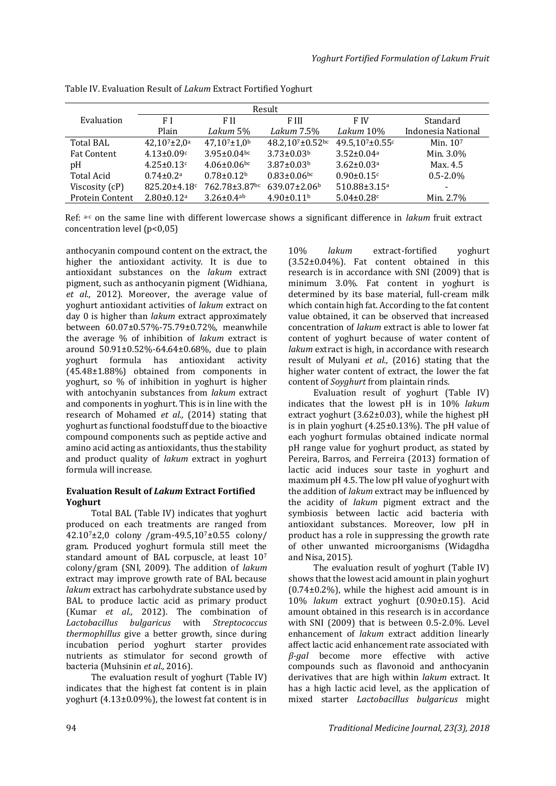| Result                 |                               |                               |                              |                                |                          |
|------------------------|-------------------------------|-------------------------------|------------------------------|--------------------------------|--------------------------|
| Evaluation             | F I                           | F II                          | F III                        | F IV                           | Standard                 |
|                        | Plain                         | Lakum 5%                      | Lakum 7.5%                   | Lakum 10%                      | Indonesia National       |
| <b>Total BAL</b>       | $42,10^{7}$ ±2,0 <sup>a</sup> | $47.10^{7} \pm 1.0^{b}$       | 48.2,107±0.52bc              | 49.5,107 $\pm$ 0.55 $\text{c}$ | Min. $107$               |
| <b>Fat Content</b>     | $4.13 \pm 0.09c$              | $3.95 \pm 0.04$ bc            | $3.73 \pm 0.03b$             | $3.52 \pm 0.04a$               | Min. 3.0%                |
| pН                     | $4.25 \pm 0.13$ c             | $4.06 \pm 0.06$ <sub>bc</sub> | $3.87 \pm 0.03b$             | $3.62 \pm 0.03$ <sup>a</sup>   | Max. 4.5                 |
| <b>Total Acid</b>      | $0.74 \pm 0.2^a$              | $0.78 \pm 0.12^b$             | $0.83 \pm 0.06$ bc           | $0.90 \pm 0.15$ <sup>c</sup>   | $0.5 - 2.0\%$            |
| Viscosity (cP)         | $825.20 \pm 4.18$ c           | 762.78±3.87bc                 | $639.07 \pm 2.06$            | 510.88±3.15 <sup>a</sup>       | $\overline{\phantom{0}}$ |
| <b>Protein Content</b> | $2.80 \pm 0.12$ <sup>a</sup>  | $3.26 \pm 0.4$ <sup>ab</sup>  | $4.90 \pm 0.11$ <sup>b</sup> | $5.04 \pm 0.28$ c              | Min. 2.7%                |

Table IV. Evaluation Result of *Lakum* Extract Fortified Yoghurt

Ref: a-c on the same line with different lowercase shows a significant difference in *lakum* fruit extract concentration level (p<0,05)

anthocyanin compound content on the extract, the higher the antioxidant activity. It is due to antioxidant substances on the *lakum* extract pigment, such as anthocyanin pigment (Widhiana, *et al.,* 2012). Moreover, the average value of yoghurt antioxidant activities of *lakum* extract on day 0 is higher than *lakum* extract approximately between 60.07±0.57%-75.79±0.72%, meanwhile the average % of inhibition of *lakum* extract is around 50.91±0.52%-64.64±0.68%, due to plain yoghurt formula has antioxidant activity (45.48±1.88%) obtained from components in yoghurt, so % of inhibition in yoghurt is higher with antochyanin substances from *lakum* extract and components in yoghurt. This is in line with the research of Mohamed *et al.,* (2014) stating that yoghurt as functional foodstuff due to the bioactive compound components such as peptide active and amino acid acting as antioxidants, thus the stability and product quality of *lakum* extract in yoghurt formula will increase.

## **Evaluation Result of** *Lakum* **Extract Fortified Yoghurt**

Total BAL (Table IV) indicates that yoghurt produced on each treatments are ranged from 42.107±2,0 colony /gram-49.5,107±0.55 colony/ gram. Produced yoghurt formula still meet the standard amount of BAL corpuscle, at least 10<sup>7</sup> colony/gram (SNI, 2009). The addition of *lakum* extract may improve growth rate of BAL because *lakum* extract has carbohydrate substance used by BAL to produce lactic acid as primary product (Kumar *et al.,* 2012). The combination of *Lactobacillus bulgaricus* with *Streptococcus thermophillus* give a better growth, since during incubation period yoghurt starter provides nutrients as stimulator for second growth of bacteria (Muhsinin *et al.,* 2016).

The evaluation result of yoghurt (Table IV) indicates that the highest fat content is in plain yoghurt (4.13±0.09%), the lowest fat content is in

10% *lakum* extract-fortified yoghurt (3.52±0.04%). Fat content obtained in this research is in accordance with SNI (2009) that is minimum 3.0%. Fat content in yoghurt is determined by its base material, full-cream milk which contain high fat. According to the fat content value obtained, it can be observed that increased concentration of *lakum* extract is able to lower fat content of yoghurt because of water content of *lakum* extract is high, in accordance with research result of Mulyani *et al.,* (2016) stating that the higher water content of extract, the lower the fat content of *Soyghurt* from plaintain rinds*.*

Evaluation result of yoghurt (Table IV) indicates that the lowest pH is in 10% *lakum* extract yoghurt (3.62±0.03), while the highest pH is in plain yoghurt (4.25±0.13%). The pH value of each yoghurt formulas obtained indicate normal pH range value for yoghurt product, as stated by Pereira, Barros, and Ferreira (2013) formation of lactic acid induces sour taste in yoghurt and maximum pH 4.5. The low pH value of yoghurt with the addition of *lakum* extract may be influenced by the acidity of *lakum* pigment extract and the symbiosis between lactic acid bacteria with antioxidant substances. Moreover, low pH in product has a role in suppressing the growth rate of other unwanted microorganisms (Widagdha and Nisa, 2015).

The evaluation result of yoghurt (Table IV) shows that the lowest acid amount in plain yoghurt  $(0.74\pm0.2\%)$ , while the highest acid amount is in 10% *lakum* extract yoghurt (0.90±0.15). Acid amount obtained in this research is in accordance with SNI (2009) that is between 0.5-2.0%. Level enhancement of *lakum* extract addition linearly affect lactic acid enhancement rate associated with *β-gal* become more effective with active compounds such as flavonoid and anthocyanin derivatives that are high within *lakum* extract. It has a high lactic acid level, as the application of mixed starter *Lactobacillus bulgaricus* might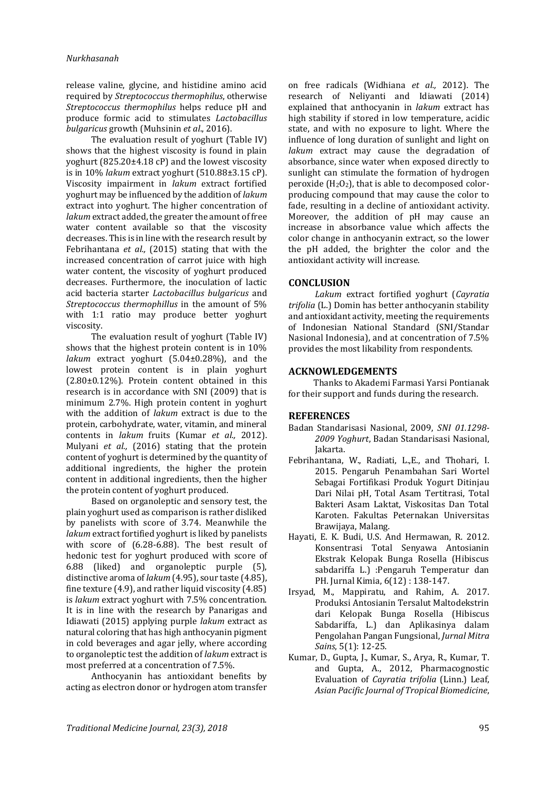release valine, glycine, and histidine amino acid required by *Streptococcus thermophilus*, otherwise *Streptococcus thermophilus* helps reduce pH and produce formic acid to stimulates *Lactobacillus bulgaricus* growth (Muhsinin *et al*., 2016).

The evaluation result of yoghurt (Table IV) shows that the highest viscosity is found in plain yoghurt (825.20±4.18 cP) and the lowest viscosity is in 10% *lakum* extract yoghurt (510.88±3.15 cP). Viscosity impairment in *lakum* extract fortified yoghurt may be influenced by the addition of *lakum* extract into yoghurt. The higher concentration of *lakum* extract added, the greater the amount of free water content available so that the viscosity decreases. This is in line with the research result by Febrihantana *et al.,* (2015) stating that with the increased concentration of carrot juice with high water content, the viscosity of yoghurt produced decreases. Furthermore, the inoculation of lactic acid bacteria starter *Lactobacillus bulgaricus* and *Streptococcus thermophillus* in the amount of 5% with 1:1 ratio may produce better yoghurt viscosity.

The evaluation result of yoghurt (Table IV) shows that the highest protein content is in 10% *lakum* extract yoghurt (5.04±0.28%), and the lowest protein content is in plain yoghurt (2.80±0.12%). Protein content obtained in this research is in accordance with SNI (2009) that is minimum 2.7%. High protein content in yoghurt with the addition of *lakum* extract is due to the protein, carbohydrate, water, vitamin, and mineral contents in *lakum* fruits (Kumar *et al.,* 2012). Mulyani *et al.,* (2016) stating that the protein content of yoghurt is determined by the quantity of additional ingredients, the higher the protein content in additional ingredients, then the higher the protein content of yoghurt produced.

Based on organoleptic and sensory test, the plain yoghurt used as comparison is rather disliked by panelists with score of 3.74. Meanwhile the *lakum* extract fortified yoghurt is liked by panelists with score of (6.28-6.88). The best result of hedonic test for yoghurt produced with score of 6.88 (liked) and organoleptic purple (5), distinctive aroma of *lakum* (4.95), sour taste (4.85), fine texture (4.9), and rather liquid viscosity (4.85) is *lakum* extract yoghurt with 7.5% concentration. It is in line with the research by Panarigas and Idiawati (2015) applying purple *lakum* extract as natural coloring that has high anthocyanin pigment in cold beverages and agar jelly, where according to organoleptic test the addition of *lakum* extract is most preferred at a concentration of 7.5%.

Anthocyanin has antioxidant benefits by acting as electron donor or hydrogen atom transfer

on free radicals (Widhiana *et al.,* 2012). The research of Neliyanti and Idiawati (2014) explained that anthocyanin in *lakum* extract has high stability if stored in low temperature, acidic state, and with no exposure to light. Where the influence of long duration of sunlight and light on *lakum* extract may cause the degradation of absorbance, since water when exposed directly to sunlight can stimulate the formation of hydrogen peroxide  $(H_2O_2)$ , that is able to decomposed colorproducing compound that may cause the color to fade, resulting in a decline of antioxidant activity. Moreover, the addition of pH may cause an increase in absorbance value which affects the color change in anthocyanin extract, so the lower the pH added, the brighter the color and the antioxidant activity will increase.

## **CONCLUSION**

*Lakum* extract fortified yoghurt (*Cayratia trifolia* (L.) Domin has better anthocyanin stability and antioxidant activity, meeting the requirements of Indonesian National Standard (SNI/Standar Nasional Indonesia), and at concentration of 7.5% provides the most likability from respondents.

## **ACKNOWLEDGEMENTS**

Thanks to Akademi Farmasi Yarsi Pontianak for their support and funds during the research.

## **REFERENCES**

- Badan Standarisasi Nasional, 2009, *SNI 01.1298- 2009 Yoghurt*, Badan Standarisasi Nasional, Jakarta.
- Febrihantana, W., Radiati, L.,E., and Thohari, I. 2015. Pengaruh Penambahan Sari Wortel Sebagai Fortifikasi Produk Yogurt Ditinjau Dari Nilai pH, Total Asam Tertitrasi, Total Bakteri Asam Laktat, Viskositas Dan Total Karoten. Fakultas Peternakan Universitas Brawijaya, Malang.
- Hayati, E. K. Budi, U.S. And Hermawan, R. 2012. Konsentrasi Total Senyawa Antosianin Ekstrak Kelopak Bunga Rosella (Hibiscus sabdariffa L.) :Pengaruh Temperatur dan PH. Jurnal Kimia, 6(12) : 138-147.
- Irsyad, M., Mappiratu, and Rahim, A. 2017. Produksi Antosianin Tersalut Maltodekstrin dari Kelopak Bunga Rosella (Hibiscus Sabdariffa, L.) dan Aplikasinya dalam Pengolahan Pangan Fungsional, *Jurnal Mitra Sains*, 5(1): 12-25.
- Kumar, D., Gupta, J., Kumar, S., Arya, R., Kumar, T. and Gupta, A., 2012, Pharmacognostic Evaluation of *Cayratia trifolia* (Linn.) Leaf, *Asian Pacific Journal of Tropical Biomedicine*,